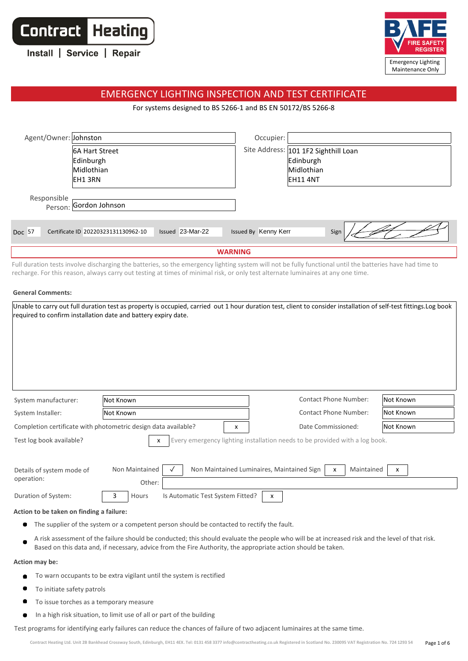**Contract Heating** 

| Install   Service   Repair |  |  |
|----------------------------|--|--|
|----------------------------|--|--|



## EMERGENCY LIGHTING INSPECTION AND TEST CERTIFICATE

For systems designed to BS 5266-1 and BS EN 50172/BS 5266-8

| Agent/Owner: Johnston |                                     |                  | Occupier:            |                                      |  |
|-----------------------|-------------------------------------|------------------|----------------------|--------------------------------------|--|
|                       | <b>6A Hart Street</b>               |                  |                      | Site Address: 101 1F2 Sighthill Loan |  |
|                       | Edinburgh                           |                  |                      | Edinburgh                            |  |
|                       | Midlothian                          |                  |                      | Midlothian                           |  |
|                       | <b>EH13RN</b>                       |                  |                      | EH11 4NT                             |  |
| Responsible           | Person: Gordon Johnson              |                  |                      |                                      |  |
| Doc 57                | Certificate ID 20220323131130962-10 | Issued 23-Mar-22 | Issued By Kenny Kerr | Sign                                 |  |
|                       | <b>WARNING</b>                      |                  |                      |                                      |  |

Full duration tests involve discharging the batteries, so the emergency lighting system will not be fully functional until the batteries have had time to recharge. For this reason, always carry out testing at times of minimal risk, or only test alternate luminaires at any one time.

#### **General Comments:**

| required to confirm installation date and battery expiry date.                                                                                   | Unable to carry out full duration test as property is occupied, carried out 1 hour duration test, client to consider installation of self-test fittings. Log book |                                           |           |  |
|--------------------------------------------------------------------------------------------------------------------------------------------------|-------------------------------------------------------------------------------------------------------------------------------------------------------------------|-------------------------------------------|-----------|--|
| System manufacturer:                                                                                                                             | Not Known                                                                                                                                                         | <b>Contact Phone Number:</b>              | Not Known |  |
| System Installer:                                                                                                                                | Not Known                                                                                                                                                         | <b>Contact Phone Number:</b><br>Not Known |           |  |
| Completion certificate with photometric design data available?<br>Date Commissioned:<br>Not Known<br>x                                           |                                                                                                                                                                   |                                           |           |  |
| Test log book available?<br>Every emergency lighting installation needs to be provided with a log book.<br>x                                     |                                                                                                                                                                   |                                           |           |  |
| <b>Non Maintained</b><br>Non Maintained Luminaires, Maintained Sign<br>Maintained<br>Details of system mode of<br>x<br>x<br>operation:<br>Other: |                                                                                                                                                                   |                                           |           |  |
| Duration of System:                                                                                                                              | Is Automatic Test System Fitted?<br>3<br>Hours                                                                                                                    | $\mathsf{x}$                              |           |  |
| Action to be taken on finding a failure:                                                                                                         |                                                                                                                                                                   |                                           |           |  |
|                                                                                                                                                  | The supplier of the system or a competent person should be contacted to rectify the fault.                                                                        |                                           |           |  |

A risk assessment of the failure should be conducted; this should evaluate the people who will be at increased risk and the level of that risk. Based on this data and, if necessary, advice from the Fire Authority, the appropriate action should be taken.

#### **Action may be:**

- To warn occupants to be extra vigilant until the system is rectified  $\bullet$
- $\bullet$ To initiate safety patrols
- $\bullet$ To issue torches as a temporary measure
- In a high risk situation, to limit use of all or part of the building  $\bullet$

Test programs for identifying early failures can reduce the chances of failure of two adjacent luminaires at the same time.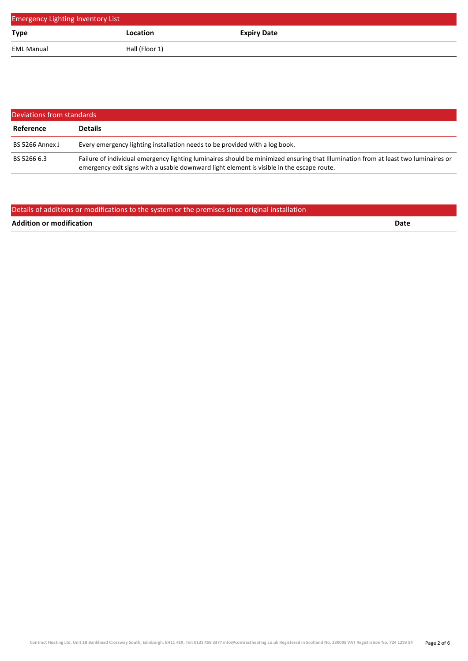| <b>Emergency Lighting Inventory List</b> |                 |                    |  |  |
|------------------------------------------|-----------------|--------------------|--|--|
| <b>Type</b>                              | <b>Location</b> | <b>Expiry Date</b> |  |  |
| <b>EML Manual</b>                        | Hall (Floor 1)  |                    |  |  |

| Deviations from standards |                                                                                                                                                                                                                                 |  |  |
|---------------------------|---------------------------------------------------------------------------------------------------------------------------------------------------------------------------------------------------------------------------------|--|--|
| Reference                 | <b>Details</b>                                                                                                                                                                                                                  |  |  |
| BS 5266 Annex J           | Every emergency lighting installation needs to be provided with a log book.                                                                                                                                                     |  |  |
| BS 5266 6.3               | Failure of individual emergency lighting luminaires should be minimized ensuring that Illumination from at least two luminaires or<br>emergency exit signs with a usable downward light element is visible in the escape route. |  |  |

### Details of additions or modifications to the system or the premises since original installation

**Addition or modification Date**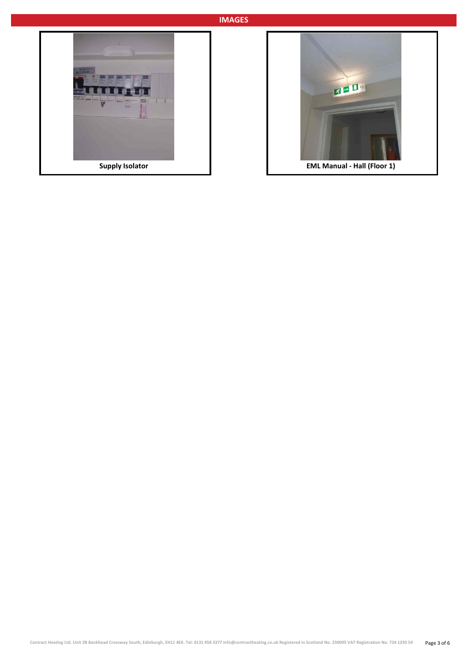### **IMAGES**



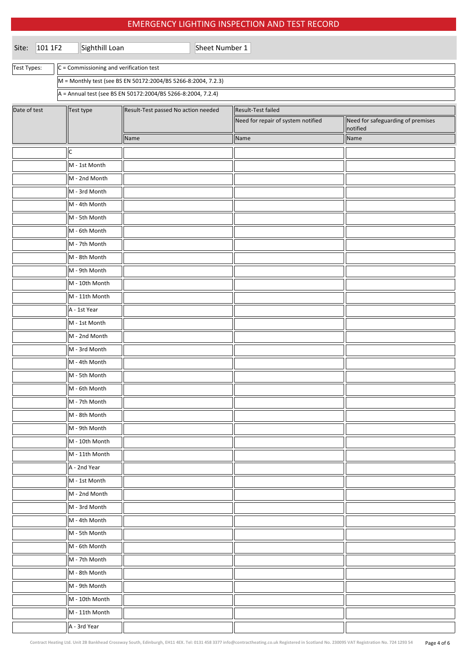## EMERGENCY LIGHTING INSPECTION AND TEST RECORD

| Site:        | 101 1F2 | Sighthill Loan                                                |                                                              | Sheet Number 1 |                                    |  |                                               |  |
|--------------|---------|---------------------------------------------------------------|--------------------------------------------------------------|----------------|------------------------------------|--|-----------------------------------------------|--|
| Test Types:  |         | $C =$ Commissioning and verification test                     |                                                              |                |                                    |  |                                               |  |
|              |         | M = Monthly test (see BS EN 50172:2004/BS 5266-8:2004, 7.2.3) |                                                              |                |                                    |  |                                               |  |
|              |         |                                                               | A = Annual test (see BS EN 50172:2004/BS 5266-8:2004, 7.2.4) |                |                                    |  |                                               |  |
| Date of test |         | Test type                                                     | Result-Test passed No action needed                          |                | Result-Test failed                 |  |                                               |  |
|              |         |                                                               |                                                              |                | Need for repair of system notified |  | Need for safeguarding of premises<br>notified |  |
|              |         |                                                               | Name                                                         |                | Name                               |  | Name                                          |  |
|              |         | $\mathsf C$                                                   |                                                              |                |                                    |  |                                               |  |
|              |         | M - 1st Month                                                 |                                                              |                |                                    |  |                                               |  |
|              |         | M - 2nd Month                                                 |                                                              |                |                                    |  |                                               |  |
|              |         | M - 3rd Month                                                 |                                                              |                |                                    |  |                                               |  |
|              |         | M - 4th Month                                                 |                                                              |                |                                    |  |                                               |  |
|              |         | M - 5th Month                                                 |                                                              |                |                                    |  |                                               |  |
|              |         | M - 6th Month                                                 |                                                              |                |                                    |  |                                               |  |
|              |         | M - 7th Month                                                 |                                                              |                |                                    |  |                                               |  |
|              |         | M - 8th Month                                                 |                                                              |                |                                    |  |                                               |  |
|              |         | M - 9th Month                                                 |                                                              |                |                                    |  |                                               |  |
|              |         | M - 10th Month                                                |                                                              |                |                                    |  |                                               |  |
|              |         | M - 11th Month                                                |                                                              |                |                                    |  |                                               |  |
|              |         | A - 1st Year                                                  |                                                              |                |                                    |  |                                               |  |
|              |         | M - 1st Month                                                 |                                                              |                |                                    |  |                                               |  |
|              |         | M - 2nd Month                                                 |                                                              |                |                                    |  |                                               |  |
|              |         | M - 3rd Month                                                 |                                                              |                |                                    |  |                                               |  |
|              |         | M - 4th Month                                                 |                                                              |                |                                    |  |                                               |  |
|              |         | M - 5th Month                                                 |                                                              |                |                                    |  |                                               |  |
|              |         | M - 6th Month                                                 |                                                              |                |                                    |  |                                               |  |
|              |         | M - 7th Month                                                 |                                                              |                |                                    |  |                                               |  |
|              |         | M - 8th Month                                                 |                                                              |                |                                    |  |                                               |  |
|              |         | M - 9th Month                                                 |                                                              |                |                                    |  |                                               |  |
|              |         | M - 10th Month                                                |                                                              |                |                                    |  |                                               |  |
|              |         | M - 11th Month                                                |                                                              |                |                                    |  |                                               |  |
|              |         | A - 2nd Year                                                  |                                                              |                |                                    |  |                                               |  |
|              |         | M - 1st Month                                                 |                                                              |                |                                    |  |                                               |  |
|              |         | M - 2nd Month                                                 |                                                              |                |                                    |  |                                               |  |
|              |         | M - 3rd Month                                                 |                                                              |                |                                    |  |                                               |  |
|              |         | M - 4th Month                                                 |                                                              |                |                                    |  |                                               |  |
|              |         | M - 5th Month                                                 |                                                              |                |                                    |  |                                               |  |
|              |         | M - 6th Month                                                 |                                                              |                |                                    |  |                                               |  |
|              |         | M - 7th Month                                                 |                                                              |                |                                    |  |                                               |  |
|              |         | M - 8th Month                                                 |                                                              |                |                                    |  |                                               |  |
|              |         | M - 9th Month                                                 |                                                              |                |                                    |  |                                               |  |
|              |         | M - 10th Month                                                |                                                              |                |                                    |  |                                               |  |
|              |         | M - 11th Month                                                |                                                              |                |                                    |  |                                               |  |
|              |         | A - 3rd Year                                                  |                                                              |                |                                    |  |                                               |  |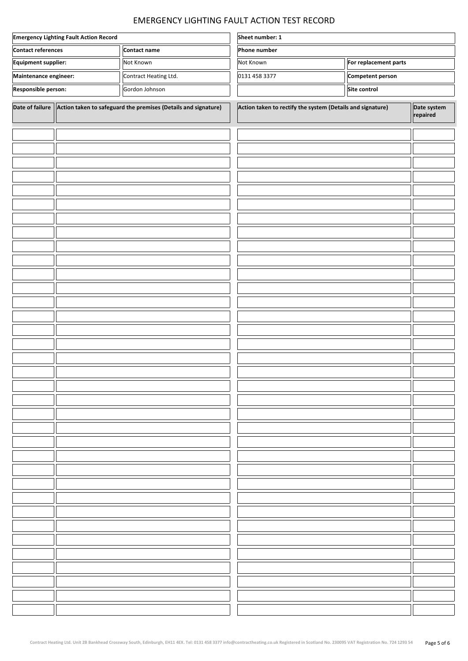# EMERGENCY LIGHTING FAULT ACTION TEST RECORD

| <b>Emergency Lighting Fault Action Record</b> |                                                                                     | Sheet number: 1                                                |                                                            |                       |  |                         |
|-----------------------------------------------|-------------------------------------------------------------------------------------|----------------------------------------------------------------|------------------------------------------------------------|-----------------------|--|-------------------------|
| <b>Contact references</b><br>Contact name     |                                                                                     | Phone number                                                   |                                                            |                       |  |                         |
| Equipment supplier:<br>Not Known              |                                                                                     | Not Known                                                      |                                                            | For replacement parts |  |                         |
|                                               | Maintenance engineer:<br>Competent person<br>Contract Heating Ltd.<br>0131 458 3377 |                                                                |                                                            |                       |  |                         |
| Responsible person:<br>Gordon Johnson         |                                                                                     |                                                                |                                                            | Site control          |  |                         |
| Date of failure                               |                                                                                     | Action taken to safeguard the premises (Details and signature) | Action taken to rectify the system (Details and signature) |                       |  | Date system<br>repaired |
|                                               |                                                                                     |                                                                |                                                            |                       |  |                         |
|                                               |                                                                                     |                                                                |                                                            |                       |  |                         |
|                                               |                                                                                     |                                                                |                                                            |                       |  |                         |
|                                               |                                                                                     |                                                                |                                                            |                       |  |                         |
|                                               |                                                                                     |                                                                |                                                            |                       |  |                         |
|                                               |                                                                                     |                                                                |                                                            |                       |  |                         |
|                                               |                                                                                     |                                                                |                                                            |                       |  |                         |
|                                               |                                                                                     |                                                                |                                                            |                       |  |                         |
|                                               |                                                                                     |                                                                |                                                            |                       |  |                         |
|                                               |                                                                                     |                                                                |                                                            |                       |  |                         |
|                                               |                                                                                     |                                                                |                                                            |                       |  |                         |
|                                               |                                                                                     |                                                                |                                                            |                       |  |                         |
|                                               |                                                                                     |                                                                |                                                            |                       |  |                         |
|                                               |                                                                                     |                                                                |                                                            |                       |  |                         |
|                                               |                                                                                     |                                                                |                                                            |                       |  |                         |
|                                               |                                                                                     |                                                                |                                                            |                       |  |                         |
|                                               |                                                                                     |                                                                |                                                            |                       |  |                         |
|                                               |                                                                                     |                                                                |                                                            |                       |  |                         |
|                                               |                                                                                     |                                                                |                                                            |                       |  | ור                      |
|                                               |                                                                                     |                                                                |                                                            |                       |  |                         |
|                                               |                                                                                     |                                                                |                                                            |                       |  |                         |
|                                               |                                                                                     |                                                                |                                                            |                       |  |                         |
|                                               |                                                                                     |                                                                |                                                            |                       |  |                         |
|                                               |                                                                                     |                                                                |                                                            |                       |  |                         |
|                                               |                                                                                     |                                                                |                                                            |                       |  |                         |
|                                               |                                                                                     |                                                                |                                                            |                       |  |                         |
|                                               |                                                                                     |                                                                |                                                            |                       |  |                         |
|                                               |                                                                                     |                                                                |                                                            |                       |  |                         |
|                                               |                                                                                     |                                                                |                                                            |                       |  |                         |
|                                               |                                                                                     |                                                                |                                                            |                       |  |                         |
|                                               |                                                                                     |                                                                |                                                            |                       |  |                         |
|                                               |                                                                                     |                                                                |                                                            |                       |  |                         |
|                                               |                                                                                     |                                                                |                                                            |                       |  |                         |
|                                               |                                                                                     |                                                                |                                                            |                       |  |                         |
|                                               |                                                                                     |                                                                |                                                            |                       |  |                         |